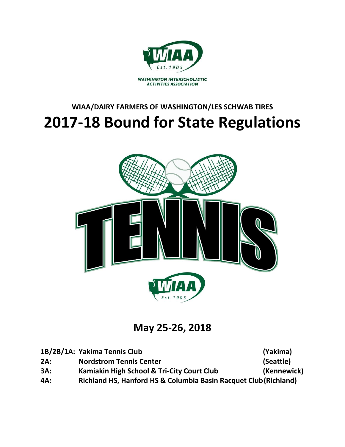

# **WIAA/DAIRY FARMERS OF WASHINGTON/LES SCHWAB TIRES 2017-18 Bound for State Regulations**



**May 25-26, 2018**

|     | 1B/2B/1A: Yakima Tennis Club                                     | (Yakima)    |
|-----|------------------------------------------------------------------|-------------|
| 2A: | <b>Nordstrom Tennis Center</b>                                   | (Seattle)   |
| 3A: | Kamiakin High School & Tri-City Court Club                       | (Kennewick) |
| 4A: | Richland HS, Hanford HS & Columbia Basin Racquet Club (Richland) |             |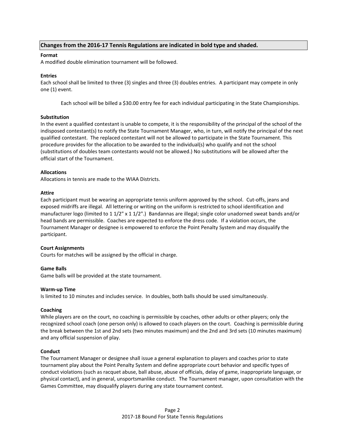# **Changes from the 2016-17 Tennis Regulations are indicated in bold type and shaded.**

# **Format**

A modified double elimination tournament will be followed.

### **Entries**

Each school shall be limited to three (3) singles and three (3) doubles entries. A participant may compete in only one (1) event.

Each school will be billed a \$30.00 entry fee for each individual participating in the State Championships.

## **Substitution**

In the event a qualified contestant is unable to compete, it is the responsibility of the principal of the school of the indisposed contestant(s) to notify the State Tournament Manager, who, in turn, will notify the principal of the next qualified contestant. The replaced contestant will not be allowed to participate in the State Tournament. This procedure provides for the allocation to be awarded to the individual(s) who qualify and not the school (substitutions of doubles team contestants would not be allowed.) No substitutions will be allowed after the official start of the Tournament.

## **Allocations**

Allocations in tennis are made to the WIAA Districts.

## **Attire**

Each participant must be wearing an appropriate tennis uniform approved by the school. Cut-offs, jeans and exposed midriffs are illegal. All lettering or writing on the uniform is restricted to school identification and manufacturer logo (limited to 1 1/2" x 1 1/2".) Bandannas are illegal; single color unadorned sweat bands and/or head bands are permissible. Coaches are expected to enforce the dress code. If a violation occurs, the Tournament Manager or designee is empowered to enforce the Point Penalty System and may disqualify the participant.

#### **Court Assignments**

Courts for matches will be assigned by the official in charge.

#### **Game Balls**

Game balls will be provided at the state tournament.

#### **Warm-up Time**

Is limited to 10 minutes and includes service. In doubles, both balls should be used simultaneously.

# **Coaching**

While players are on the court, no coaching is permissible by coaches, other adults or other players; only the recognized school coach (one person only) is allowed to coach players on the court. Coaching is permissible during the break between the 1st and 2nd sets (two minutes maximum) and the 2nd and 3rd sets (10 minutes maximum) and any official suspension of play.

#### **Conduct**

The Tournament Manager or designee shall issue a general explanation to players and coaches prior to state tournament play about the Point Penalty System and define appropriate court behavior and specific types of conduct violations (such as racquet abuse, ball abuse, abuse of officials, delay of game, inappropriate language, or physical contact), and in general, unsportsmanlike conduct. The Tournament manager, upon consultation with the Games Committee, may disqualify players during any state tournament contest.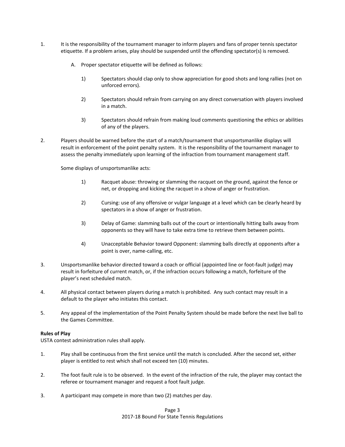- 1. It is the responsibility of the tournament manager to inform players and fans of proper tennis spectator etiquette. If a problem arises, play should be suspended until the offending spectator(s) is removed.
	- A. Proper spectator etiquette will be defined as follows:
		- 1) Spectators should clap only to show appreciation for good shots and long rallies (not on unforced errors).
		- 2) Spectators should refrain from carrying on any direct conversation with players involved in a match.
		- 3) Spectators should refrain from making loud comments questioning the ethics or abilities of any of the players.
- 2. Players should be warned before the start of a match/tournament that unsportsmanlike displays will result in enforcement of the point penalty system. It is the responsibility of the tournament manager to assess the penalty immediately upon learning of the infraction from tournament management staff.

Some displays of unsportsmanlike acts:

- 1) Racquet abuse: throwing or slamming the racquet on the ground, against the fence or net, or dropping and kicking the racquet in a show of anger or frustration.
- 2) Cursing: use of any offensive or vulgar language at a level which can be clearly heard by spectators in a show of anger or frustration.
- 3) Delay of Game: slamming balls out of the court or intentionally hitting balls away from opponents so they will have to take extra time to retrieve them between points.
- 4) Unacceptable Behavior toward Opponent: slamming balls directly at opponents after a point is over, name-calling, etc.
- 3. Unsportsmanlike behavior directed toward a coach or official (appointed line or foot-fault judge) may result in forfeiture of current match, or, if the infraction occurs following a match, forfeiture of the player's next scheduled match.
- 4. All physical contact between players during a match is prohibited. Any such contact may result in a default to the player who initiates this contact.
- 5. Any appeal of the implementation of the Point Penalty System should be made before the next live ball to the Games Committee.

# **Rules of Play**

USTA contest administration rules shall apply.

- 1. Play shall be continuous from the first service until the match is concluded. After the second set, either player is entitled to rest which shall not exceed ten (10) minutes.
- 2. The foot fault rule is to be observed. In the event of the infraction of the rule, the player may contact the referee or tournament manager and request a foot fault judge.
- 3. A participant may compete in more than two (2) matches per day.